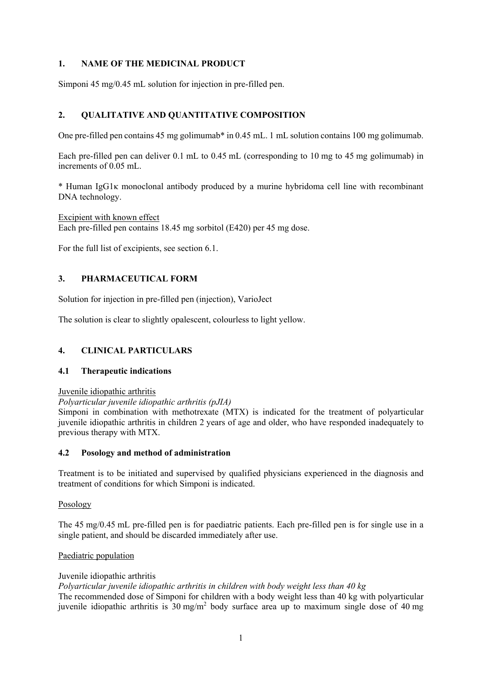## **1. NAME OF THE MEDICINAL PRODUCT**

Simponi 45 mg/0.45 mL solution for injection in pre-filled pen.

# **2. QUALITATIVE AND QUANTITATIVE COMPOSITION**

One pre-filled pen contains 45 mg golimumab\* in 0.45 mL. 1 mL solution contains 100 mg golimumab.

Each pre-filled pen can deliver 0.1 mL to 0.45 mL (corresponding to 10 mg to 45 mg golimumab) in increments of 0.05 mL.

\* Human IgG1κ monoclonal antibody produced by a murine hybridoma cell line with recombinant DNA technology.

Excipient with known effect Each pre-filled pen contains 18.45 mg sorbitol (E420) per 45 mg dose.

For the full list of excipients, see section 6.1.

# **3. PHARMACEUTICAL FORM**

Solution for injection in pre-filled pen (injection), VarioJect

The solution is clear to slightly opalescent, colourless to light yellow.

# **4. CLINICAL PARTICULARS**

### **4.1 Therapeutic indications**

### Juvenile idiopathic arthritis

*Polyarticular juvenile idiopathic arthritis (pJIA)* 

Simponi in combination with methotrexate (MTX) is indicated for the treatment of polyarticular juvenile idiopathic arthritis in children 2 years of age and older, who have responded inadequately to previous therapy with MTX.

### **4.2 Posology and method of administration**

Treatment is to be initiated and supervised by qualified physicians experienced in the diagnosis and treatment of conditions for which Simponi is indicated.

### Posology

The 45 mg/0.45 mL pre-filled pen is for paediatric patients. Each pre-filled pen is for single use in a single patient, and should be discarded immediately after use.

### Paediatric population

### Juvenile idiopathic arthritis

*Polyarticular juvenile idiopathic arthritis in children with body weight less than 40 kg* 

The recommended dose of Simponi for children with a body weight less than 40 kg with polyarticular juvenile idiopathic arthritis is  $30 \text{ mg/m}^2$  body surface area up to maximum single dose of 40 mg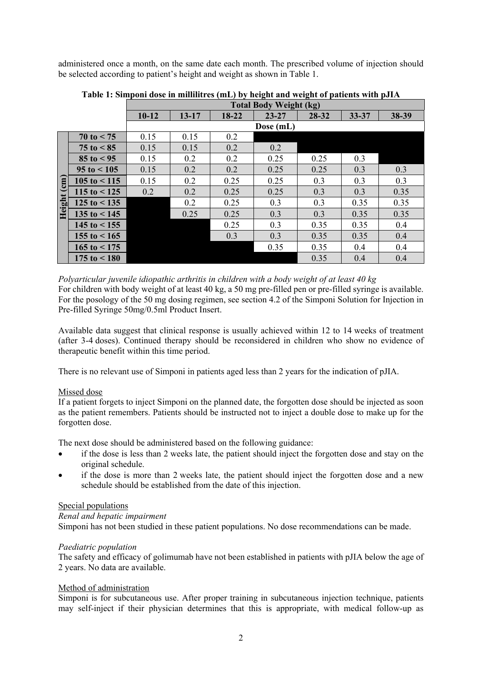administered once a month, on the same date each month. The prescribed volume of injection should be selected according to patient's height and weight as shown in Table 1.

|                          |                        | <b>Total Body Weight (kg)</b> |           |           |           |       |           |       |
|--------------------------|------------------------|-------------------------------|-----------|-----------|-----------|-------|-----------|-------|
|                          |                        | $10 - 12$                     | $13 - 17$ | $18 - 22$ | $23 - 27$ | 28-32 | $33 - 37$ | 38-39 |
|                          |                        |                               |           |           | Dose (mL) |       |           |       |
|                          | $70 \text{ to } 5$     | 0.15                          | 0.15      | 0.2       |           |       |           |       |
|                          | $75 \text{ to } 5$     | 0.15                          | 0.15      | 0.2       | 0.2       |       |           |       |
|                          | $85 \text{ to } 95$    | 0.15                          | 0.2       | 0.2       | 0.25      | 0.25  | 0.3       |       |
|                          | $95 \text{ to } 105$   | 0.15                          | 0.2       | 0.2       | 0.25      | 0.25  | 0.3       | 0.3   |
| $\binom{m}{n}$<br>Height | $105$ to $\leq 115$    | 0.15                          | 0.2       | 0.25      | 0.25      | 0.3   | 0.3       | 0.3   |
|                          | 115 to $<$ 125         | 0.2                           | 0.2       | 0.25      | 0.25      | 0.3   | 0.3       | 0.35  |
|                          | $125$ to $\leq 135$    |                               | 0.2       | 0.25      | 0.3       | 0.3   | 0.35      | 0.35  |
|                          | 135 to $<$ 145         |                               | 0.25      | 0.25      | 0.3       | 0.3   | 0.35      | 0.35  |
|                          | $145 \text{ to} < 155$ |                               |           | 0.25      | 0.3       | 0.35  | 0.35      | 0.4   |
|                          | 155 to $< 165$         |                               |           | 0.3       | 0.3       | 0.35  | 0.35      | 0.4   |
|                          | 165 to $<$ 175         |                               |           |           | 0.35      | 0.35  | 0.4       | 0.4   |
|                          | $175$ to $< 180$       |                               |           |           |           | 0.35  | 0.4       | 0.4   |

**Table 1: Simponi dose in millilitres (mL) by height and weight of patients with pJIA** 

*Polyarticular juvenile idiopathic arthritis in children with a body weight of at least 40 kg* 

For children with body weight of at least 40 kg, a 50 mg pre-filled pen or pre-filled syringe is available. For the posology of the 50 mg dosing regimen, see section 4.2 of the Simponi Solution for Injection in Pre-filled Syringe 50mg/0.5ml Product Insert.

Available data suggest that clinical response is usually achieved within 12 to 14 weeks of treatment (after 3-4 doses). Continued therapy should be reconsidered in children who show no evidence of therapeutic benefit within this time period.

There is no relevant use of Simponi in patients aged less than 2 years for the indication of pJIA.

### Missed dose

If a patient forgets to inject Simponi on the planned date, the forgotten dose should be injected as soon as the patient remembers. Patients should be instructed not to inject a double dose to make up for the forgotten dose.

The next dose should be administered based on the following guidance:

- if the dose is less than 2 weeks late, the patient should inject the forgotten dose and stay on the original schedule.
- if the dose is more than 2 weeks late, the patient should inject the forgotten dose and a new schedule should be established from the date of this injection.

### Special populations

### *Renal and hepatic impairment*

Simponi has not been studied in these patient populations. No dose recommendations can be made.

### *Paediatric population*

The safety and efficacy of golimumab have not been established in patients with pJIA below the age of 2 years. No data are available.

### Method of administration

Simponi is for subcutaneous use. After proper training in subcutaneous injection technique, patients may self-inject if their physician determines that this is appropriate, with medical follow-up as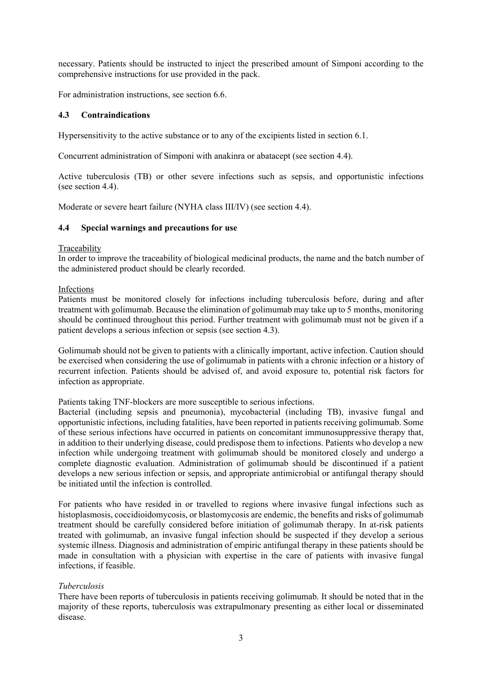necessary. Patients should be instructed to inject the prescribed amount of Simponi according to the comprehensive instructions for use provided in the pack.

For administration instructions, see section 6.6.

## **4.3 Contraindications**

Hypersensitivity to the active substance or to any of the excipients listed in section 6.1.

Concurrent administration of Simponi with anakinra or abatacept (see section 4.4).

Active tuberculosis (TB) or other severe infections such as sepsis, and opportunistic infections (see section 4.4).

Moderate or severe heart failure (NYHA class III/IV) (see section 4.4).

### **4.4 Special warnings and precautions for use**

### Traceability

In order to improve the traceability of biological medicinal products, the name and the batch number of the administered product should be clearly recorded.

### Infections

Patients must be monitored closely for infections including tuberculosis before, during and after treatment with golimumab. Because the elimination of golimumab may take up to 5 months, monitoring should be continued throughout this period. Further treatment with golimumab must not be given if a patient develops a serious infection or sepsis (see section 4.3).

Golimumab should not be given to patients with a clinically important, active infection. Caution should be exercised when considering the use of golimumab in patients with a chronic infection or a history of recurrent infection. Patients should be advised of, and avoid exposure to, potential risk factors for infection as appropriate.

### Patients taking TNF-blockers are more susceptible to serious infections.

Bacterial (including sepsis and pneumonia), mycobacterial (including TB), invasive fungal and opportunistic infections, including fatalities, have been reported in patients receiving golimumab. Some of these serious infections have occurred in patients on concomitant immunosuppressive therapy that, in addition to their underlying disease, could predispose them to infections. Patients who develop a new infection while undergoing treatment with golimumab should be monitored closely and undergo a complete diagnostic evaluation. Administration of golimumab should be discontinued if a patient develops a new serious infection or sepsis, and appropriate antimicrobial or antifungal therapy should be initiated until the infection is controlled.

For patients who have resided in or travelled to regions where invasive fungal infections such as histoplasmosis, coccidioidomycosis, or blastomycosis are endemic, the benefits and risks of golimumab treatment should be carefully considered before initiation of golimumab therapy. In at-risk patients treated with golimumab, an invasive fungal infection should be suspected if they develop a serious systemic illness. Diagnosis and administration of empiric antifungal therapy in these patients should be made in consultation with a physician with expertise in the care of patients with invasive fungal infections, if feasible.

### *Tuberculosis*

There have been reports of tuberculosis in patients receiving golimumab. It should be noted that in the majority of these reports, tuberculosis was extrapulmonary presenting as either local or disseminated disease.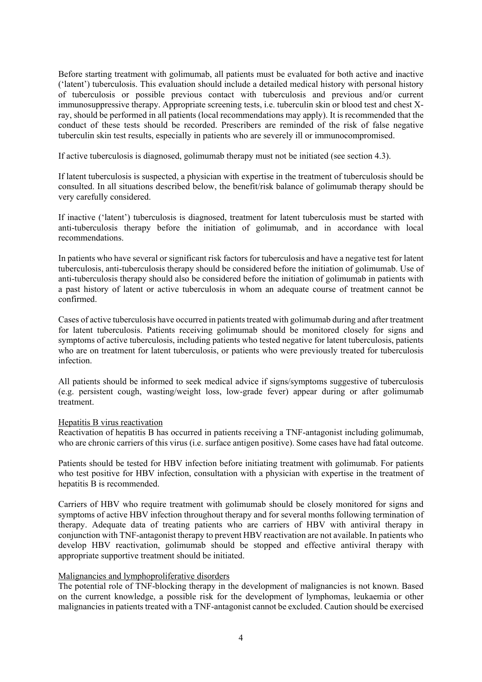Before starting treatment with golimumab, all patients must be evaluated for both active and inactive ('latent') tuberculosis. This evaluation should include a detailed medical history with personal history of tuberculosis or possible previous contact with tuberculosis and previous and/or current immunosuppressive therapy. Appropriate screening tests, i.e. tuberculin skin or blood test and chest Xray, should be performed in all patients (local recommendations may apply). It is recommended that the conduct of these tests should be recorded. Prescribers are reminded of the risk of false negative tuberculin skin test results, especially in patients who are severely ill or immunocompromised.

If active tuberculosis is diagnosed, golimumab therapy must not be initiated (see section 4.3).

If latent tuberculosis is suspected, a physician with expertise in the treatment of tuberculosis should be consulted. In all situations described below, the benefit/risk balance of golimumab therapy should be very carefully considered.

If inactive ('latent') tuberculosis is diagnosed, treatment for latent tuberculosis must be started with anti-tuberculosis therapy before the initiation of golimumab, and in accordance with local recommendations.

In patients who have several or significant risk factors for tuberculosis and have a negative test for latent tuberculosis, anti-tuberculosis therapy should be considered before the initiation of golimumab. Use of anti-tuberculosis therapy should also be considered before the initiation of golimumab in patients with a past history of latent or active tuberculosis in whom an adequate course of treatment cannot be confirmed.

Cases of active tuberculosis have occurred in patients treated with golimumab during and after treatment for latent tuberculosis. Patients receiving golimumab should be monitored closely for signs and symptoms of active tuberculosis, including patients who tested negative for latent tuberculosis, patients who are on treatment for latent tuberculosis, or patients who were previously treated for tuberculosis infection.

All patients should be informed to seek medical advice if signs/symptoms suggestive of tuberculosis (e.g. persistent cough, wasting/weight loss, low-grade fever) appear during or after golimumab treatment.

### Hepatitis B virus reactivation

Reactivation of hepatitis B has occurred in patients receiving a TNF-antagonist including golimumab, who are chronic carriers of this virus (i.e. surface antigen positive). Some cases have had fatal outcome.

Patients should be tested for HBV infection before initiating treatment with golimumab. For patients who test positive for HBV infection, consultation with a physician with expertise in the treatment of hepatitis B is recommended.

Carriers of HBV who require treatment with golimumab should be closely monitored for signs and symptoms of active HBV infection throughout therapy and for several months following termination of therapy. Adequate data of treating patients who are carriers of HBV with antiviral therapy in conjunction with TNF-antagonist therapy to prevent HBV reactivation are not available. In patients who develop HBV reactivation, golimumab should be stopped and effective antiviral therapy with appropriate supportive treatment should be initiated.

### Malignancies and lymphoproliferative disorders

The potential role of TNF-blocking therapy in the development of malignancies is not known. Based on the current knowledge, a possible risk for the development of lymphomas, leukaemia or other malignancies in patients treated with a TNF-antagonist cannot be excluded. Caution should be exercised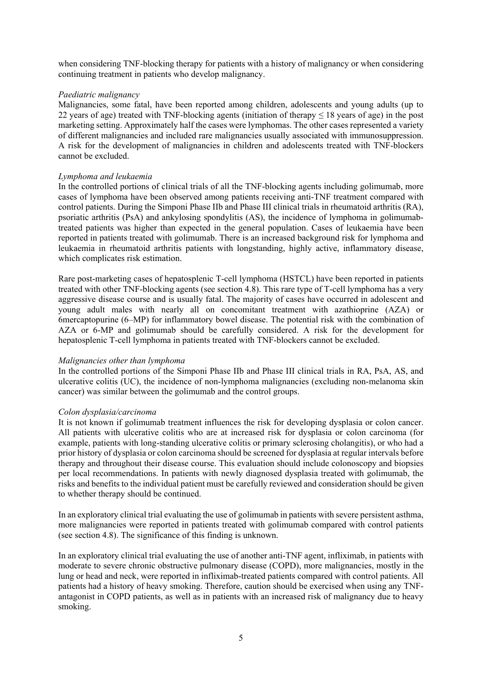when considering TNF-blocking therapy for patients with a history of malignancy or when considering continuing treatment in patients who develop malignancy.

### *Paediatric malignancy*

Malignancies, some fatal, have been reported among children, adolescents and young adults (up to 22 years of age) treated with TNF-blocking agents (initiation of therapy  $\leq$  18 years of age) in the post marketing setting. Approximately half the cases were lymphomas. The other cases represented a variety of different malignancies and included rare malignancies usually associated with immunosuppression. A risk for the development of malignancies in children and adolescents treated with TNF-blockers cannot be excluded.

### *Lymphoma and leukaemia*

In the controlled portions of clinical trials of all the TNF-blocking agents including golimumab, more cases of lymphoma have been observed among patients receiving anti-TNF treatment compared with control patients. During the Simponi Phase IIb and Phase III clinical trials in rheumatoid arthritis (RA), psoriatic arthritis (PsA) and ankylosing spondylitis (AS), the incidence of lymphoma in golimumabtreated patients was higher than expected in the general population. Cases of leukaemia have been reported in patients treated with golimumab. There is an increased background risk for lymphoma and leukaemia in rheumatoid arthritis patients with longstanding, highly active, inflammatory disease, which complicates risk estimation.

Rare post-marketing cases of hepatosplenic T-cell lymphoma (HSTCL) have been reported in patients treated with other TNF-blocking agents (see section 4.8). This rare type of T-cell lymphoma has a very aggressive disease course and is usually fatal. The majority of cases have occurred in adolescent and young adult males with nearly all on concomitant treatment with azathioprine (AZA) or 6mercaptopurine (6–MP) for inflammatory bowel disease. The potential risk with the combination of AZA or 6-MP and golimumab should be carefully considered. A risk for the development for hepatosplenic T-cell lymphoma in patients treated with TNF-blockers cannot be excluded.

### *Malignancies other than lymphoma*

In the controlled portions of the Simponi Phase IIb and Phase III clinical trials in RA, PsA, AS, and ulcerative colitis (UC), the incidence of non-lymphoma malignancies (excluding non-melanoma skin cancer) was similar between the golimumab and the control groups.

### *Colon dysplasia/carcinoma*

It is not known if golimumab treatment influences the risk for developing dysplasia or colon cancer. All patients with ulcerative colitis who are at increased risk for dysplasia or colon carcinoma (for example, patients with long-standing ulcerative colitis or primary sclerosing cholangitis), or who had a prior history of dysplasia or colon carcinoma should be screened for dysplasia at regular intervals before therapy and throughout their disease course. This evaluation should include colonoscopy and biopsies per local recommendations. In patients with newly diagnosed dysplasia treated with golimumab, the risks and benefits to the individual patient must be carefully reviewed and consideration should be given to whether therapy should be continued.

In an exploratory clinical trial evaluating the use of golimumab in patients with severe persistent asthma, more malignancies were reported in patients treated with golimumab compared with control patients (see section 4.8). The significance of this finding is unknown.

In an exploratory clinical trial evaluating the use of another anti-TNF agent, infliximab, in patients with moderate to severe chronic obstructive pulmonary disease (COPD), more malignancies, mostly in the lung or head and neck, were reported in infliximab-treated patients compared with control patients. All patients had a history of heavy smoking. Therefore, caution should be exercised when using any TNFantagonist in COPD patients, as well as in patients with an increased risk of malignancy due to heavy smoking.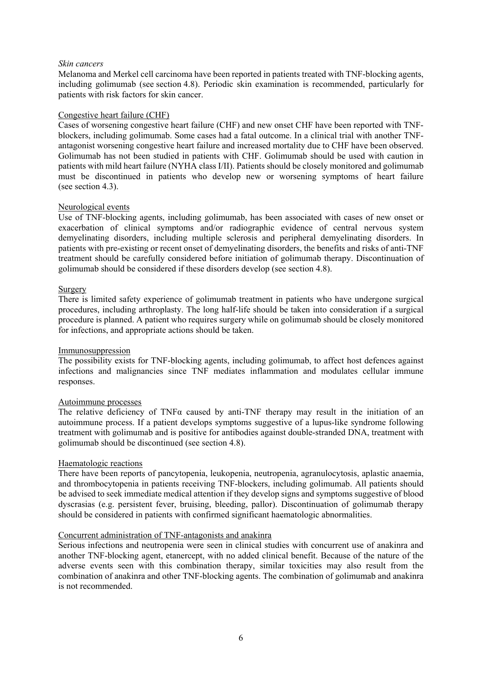### *Skin cancers*

Melanoma and Merkel cell carcinoma have been reported in patients treated with TNF-blocking agents, including golimumab (see section 4.8). Periodic skin examination is recommended, particularly for patients with risk factors for skin cancer.

### Congestive heart failure (CHF)

Cases of worsening congestive heart failure (CHF) and new onset CHF have been reported with TNFblockers, including golimumab. Some cases had a fatal outcome. In a clinical trial with another TNFantagonist worsening congestive heart failure and increased mortality due to CHF have been observed. Golimumab has not been studied in patients with CHF. Golimumab should be used with caution in patients with mild heart failure (NYHA class I/II). Patients should be closely monitored and golimumab must be discontinued in patients who develop new or worsening symptoms of heart failure (see section 4.3).

### Neurological events

Use of TNF-blocking agents, including golimumab, has been associated with cases of new onset or exacerbation of clinical symptoms and/or radiographic evidence of central nervous system demyelinating disorders, including multiple sclerosis and peripheral demyelinating disorders. In patients with pre-existing or recent onset of demyelinating disorders, the benefits and risks of anti-TNF treatment should be carefully considered before initiation of golimumab therapy. Discontinuation of golimumab should be considered if these disorders develop (see section 4.8).

### Surgery

There is limited safety experience of golimumab treatment in patients who have undergone surgical procedures, including arthroplasty. The long half-life should be taken into consideration if a surgical procedure is planned. A patient who requires surgery while on golimumab should be closely monitored for infections, and appropriate actions should be taken.

### Immunosuppression

The possibility exists for TNF-blocking agents, including golimumab, to affect host defences against infections and malignancies since TNF mediates inflammation and modulates cellular immune responses.

### Autoimmune processes

The relative deficiency of TNFα caused by anti-TNF therapy may result in the initiation of an autoimmune process. If a patient develops symptoms suggestive of a lupus-like syndrome following treatment with golimumab and is positive for antibodies against double-stranded DNA, treatment with golimumab should be discontinued (see section 4.8).

### Haematologic reactions

There have been reports of pancytopenia, leukopenia, neutropenia, agranulocytosis, aplastic anaemia, and thrombocytopenia in patients receiving TNF-blockers, including golimumab. All patients should be advised to seek immediate medical attention if they develop signs and symptoms suggestive of blood dyscrasias (e.g. persistent fever, bruising, bleeding, pallor). Discontinuation of golimumab therapy should be considered in patients with confirmed significant haematologic abnormalities.

### Concurrent administration of TNF-antagonists and anakinra

Serious infections and neutropenia were seen in clinical studies with concurrent use of anakinra and another TNF-blocking agent, etanercept, with no added clinical benefit. Because of the nature of the adverse events seen with this combination therapy, similar toxicities may also result from the combination of anakinra and other TNF-blocking agents. The combination of golimumab and anakinra is not recommended.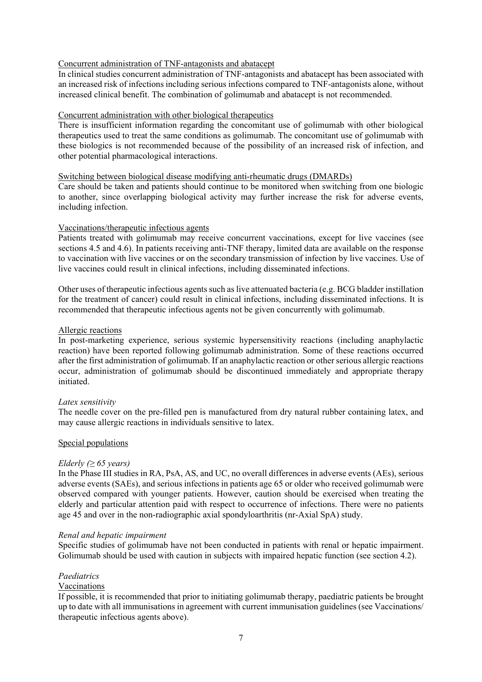### Concurrent administration of TNF-antagonists and abatacept

In clinical studies concurrent administration of TNF-antagonists and abatacept has been associated with an increased risk of infections including serious infections compared to TNF-antagonists alone, without increased clinical benefit. The combination of golimumab and abatacept is not recommended.

### Concurrent administration with other biological therapeutics

There is insufficient information regarding the concomitant use of golimumab with other biological therapeutics used to treat the same conditions as golimumab. The concomitant use of golimumab with these biologics is not recommended because of the possibility of an increased risk of infection, and other potential pharmacological interactions.

### Switching between biological disease modifying anti-rheumatic drugs (DMARDs)

Care should be taken and patients should continue to be monitored when switching from one biologic to another, since overlapping biological activity may further increase the risk for adverse events, including infection.

### Vaccinations/therapeutic infectious agents

Patients treated with golimumab may receive concurrent vaccinations, except for live vaccines (see sections 4.5 and 4.6). In patients receiving anti-TNF therapy, limited data are available on the response to vaccination with live vaccines or on the secondary transmission of infection by live vaccines. Use of live vaccines could result in clinical infections, including disseminated infections.

Other uses of therapeutic infectious agents such as live attenuated bacteria (e.g. BCG bladder instillation for the treatment of cancer) could result in clinical infections, including disseminated infections. It is recommended that therapeutic infectious agents not be given concurrently with golimumab.

### Allergic reactions

In post-marketing experience, serious systemic hypersensitivity reactions (including anaphylactic reaction) have been reported following golimumab administration. Some of these reactions occurred after the first administration of golimumab. If an anaphylactic reaction or other serious allergic reactions occur, administration of golimumab should be discontinued immediately and appropriate therapy initiated.

### *Latex sensitivity*

The needle cover on the pre-filled pen is manufactured from dry natural rubber containing latex, and may cause allergic reactions in individuals sensitive to latex.

### Special populations

### *Elderly* ( $\geq 65$  *years*)

In the Phase III studies in RA, PsA, AS, and UC, no overall differences in adverse events (AEs), serious adverse events (SAEs), and serious infections in patients age 65 or older who received golimumab were observed compared with younger patients. However, caution should be exercised when treating the elderly and particular attention paid with respect to occurrence of infections. There were no patients age 45 and over in the non-radiographic axial spondyloarthritis (nr-Axial SpA) study.

### *Renal and hepatic impairment*

Specific studies of golimumab have not been conducted in patients with renal or hepatic impairment. Golimumab should be used with caution in subjects with impaired hepatic function (see section 4.2).

### *Paediatrics*

### Vaccinations

If possible, it is recommended that prior to initiating golimumab therapy, paediatric patients be brought up to date with all immunisations in agreement with current immunisation guidelines (see Vaccinations/ therapeutic infectious agents above).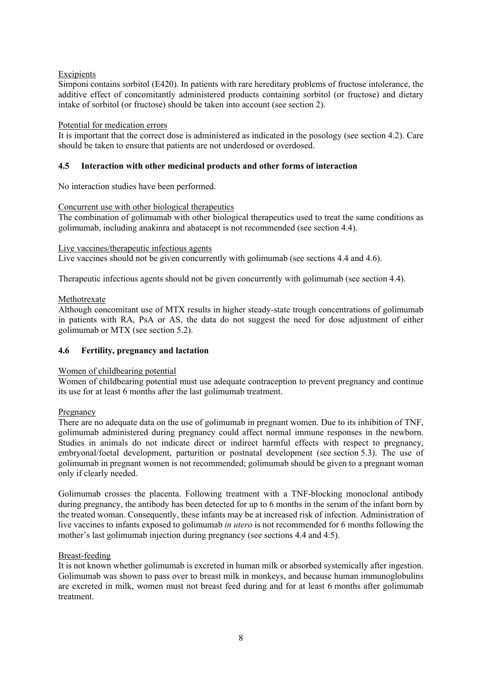# Excipients

Simponi contains sorbitol (E420). In patients with rare hereditary problems of fructose intolerance, the additive effect of concomitantly administered products containing sorbitol (or fructose) and dietary intake of sorbitol (or fructose) should be taken into account (see section 2).

## Potential for medication errors

It is important that the correct dose is administered as indicated in the posology (see section 4.2). Care should be taken to ensure that patients are not underdosed or overdosed.

# **4.5 Interaction with other medicinal products and other forms of interaction**

No interaction studies have been performed.

### Concurrent use with other biological therapeutics

The combination of golimumab with other biological therapeutics used to treat the same conditions as golimumab, including anakinra and abatacept is not recommended (see section 4.4).

### Live vaccines/therapeutic infectious agents

Live vaccines should not be given concurrently with golimumab (see sections 4.4 and 4.6).

Therapeutic infectious agents should not be given concurrently with golimumab (see section 4.4).

## Methotrexate

Although concomitant use of MTX results in higher steady-state trough concentrations of golimumab in patients with RA, PsA or AS, the data do not suggest the need for dose adjustment of either golimumab or MTX (see section 5.2).

# **4.6 Fertility, pregnancy and lactation**

### Women of childbearing potential

Women of childbearing potential must use adequate contraception to prevent pregnancy and continue its use for at least 6 months after the last golimumab treatment.

### Pregnancy

There are no adequate data on the use of golimumab in pregnant women. Due to its inhibition of TNF, golimumab administered during pregnancy could affect normal immune responses in the newborn. Studies in animals do not indicate direct or indirect harmful effects with respect to pregnancy, embryonal/foetal development, parturition or postnatal development (see section 5.3). The use of golimumab in pregnant women is not recommended; golimumab should be given to a pregnant woman only if clearly needed.

Golimumab crosses the placenta. Following treatment with a TNF-blocking monoclonal antibody during pregnancy, the antibody has been detected for up to 6 months in the serum of the infant born by the treated woman. Consequently, these infants may be at increased risk of infection. Administration of live vaccines to infants exposed to golimumab *in utero* is not recommended for 6 months following the mother's last golimumab injection during pregnancy (see sections 4.4 and 4.5).

### Breast-feeding

It is not known whether golimumab is excreted in human milk or absorbed systemically after ingestion. Golimumab was shown to pass over to breast milk in monkeys, and because human immunoglobulins are excreted in milk, women must not breast feed during and for at least 6 months after golimumab treatment.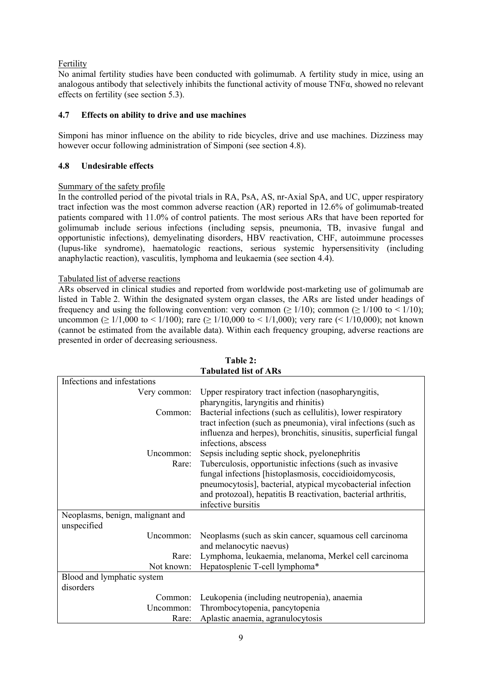# Fertility

No animal fertility studies have been conducted with golimumab. A fertility study in mice, using an analogous antibody that selectively inhibits the functional activity of mouse TNFα, showed no relevant effects on fertility (see section 5.3).

# **4.7 Effects on ability to drive and use machines**

Simponi has minor influence on the ability to ride bicycles, drive and use machines. Dizziness may however occur following administration of Simponi (see section 4.8).

# **4.8 Undesirable effects**

# Summary of the safety profile

In the controlled period of the pivotal trials in RA, PsA, AS, nr-Axial SpA, and UC, upper respiratory tract infection was the most common adverse reaction (AR) reported in 12.6% of golimumab-treated patients compared with 11.0% of control patients. The most serious ARs that have been reported for golimumab include serious infections (including sepsis, pneumonia, TB, invasive fungal and opportunistic infections), demyelinating disorders, HBV reactivation, CHF, autoimmune processes (lupus-like syndrome), haematologic reactions, serious systemic hypersensitivity (including anaphylactic reaction), vasculitis, lymphoma and leukaemia (see section 4.4).

# Tabulated list of adverse reactions

ARs observed in clinical studies and reported from worldwide post-marketing use of golimumab are listed in Table 2. Within the designated system organ classes, the ARs are listed under headings of frequency and using the following convention: very common ( $\geq 1/10$ ); common ( $\geq 1/100$  to  $\leq 1/10$ ); uncommon ( $\geq 1/1,000$  to < 1/100); rare ( $\geq 1/10,000$  to < 1/1,000); very rare (< 1/10,000); not known (cannot be estimated from the available data). Within each frequency grouping, adverse reactions are presented in order of decreasing seriousness.

|                                  | <b>Tabulated list of ARs</b>                                     |
|----------------------------------|------------------------------------------------------------------|
| Infections and infestations      |                                                                  |
| Very common:                     | Upper respiratory tract infection (nasopharyngitis,              |
|                                  | pharyngitis, laryngitis and rhinitis)                            |
| Common:                          | Bacterial infections (such as cellulitis), lower respiratory     |
|                                  | tract infection (such as pneumonia), viral infections (such as   |
|                                  | influenza and herpes), bronchitis, sinusitis, superficial fungal |
|                                  | infections, abscess                                              |
| Uncommon:                        | Sepsis including septic shock, pyelonephritis                    |
| Rare:                            | Tuberculosis, opportunistic infections (such as invasive         |
|                                  | fungal infections [histoplasmosis, coccidioidomycosis,           |
|                                  | pneumocytosis], bacterial, atypical mycobacterial infection      |
|                                  | and protozoal), hepatitis B reactivation, bacterial arthritis,   |
|                                  | infective bursitis                                               |
| Neoplasms, benign, malignant and |                                                                  |
| unspecified                      |                                                                  |
| Uncommon:                        | Neoplasms (such as skin cancer, squamous cell carcinoma          |
|                                  | and melanocytic naevus)                                          |
| Rare:                            | Lymphoma, leukaemia, melanoma, Merkel cell carcinoma             |
| Not known:                       | Hepatosplenic T-cell lymphoma*                                   |
| Blood and lymphatic system       |                                                                  |
| disorders                        |                                                                  |
| Common:                          | Leukopenia (including neutropenia), anaemia                      |
| Uncommon:                        | Thrombocytopenia, pancytopenia                                   |
| Rare:                            | Aplastic anaemia, agranulocytosis                                |

**Table 2:**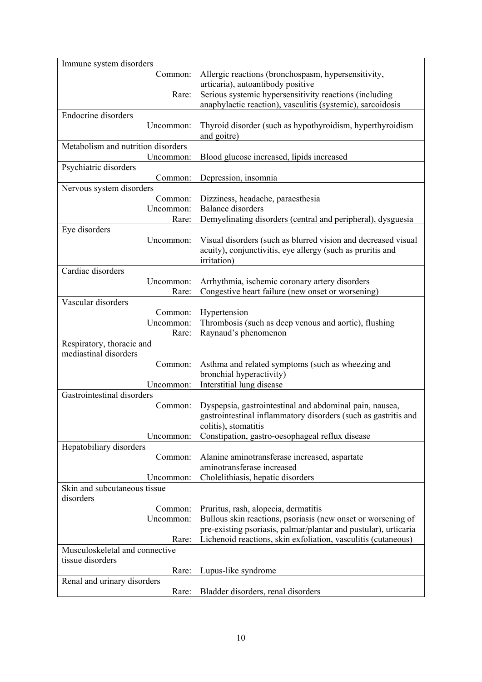| Immune system disorders                            |                                                                                                                             |
|----------------------------------------------------|-----------------------------------------------------------------------------------------------------------------------------|
| Common:                                            | Allergic reactions (bronchospasm, hypersensitivity,                                                                         |
|                                                    | urticaria), autoantibody positive                                                                                           |
| Rare:                                              | Serious systemic hypersensitivity reactions (including                                                                      |
|                                                    | anaphylactic reaction), vasculitis (systemic), sarcoidosis                                                                  |
| Endocrine disorders                                |                                                                                                                             |
| Uncommon:                                          | Thyroid disorder (such as hypothyroidism, hyperthyroidism<br>and goitre)                                                    |
| Metabolism and nutrition disorders                 |                                                                                                                             |
| Uncommon:                                          | Blood glucose increased, lipids increased                                                                                   |
| Psychiatric disorders                              |                                                                                                                             |
| Common:                                            | Depression, insomnia                                                                                                        |
| Nervous system disorders                           |                                                                                                                             |
| Common:<br>Uncommon:                               | Dizziness, headache, paraesthesia<br><b>Balance disorders</b>                                                               |
| Rare:                                              | Demyelinating disorders (central and peripheral), dysguesia                                                                 |
| Eye disorders                                      |                                                                                                                             |
| Uncommon:                                          | Visual disorders (such as blurred vision and decreased visual<br>acuity), conjunctivitis, eye allergy (such as pruritis and |
| Cardiac disorders                                  | irritation)                                                                                                                 |
| Uncommon:                                          | Arrhythmia, ischemic coronary artery disorders                                                                              |
| Rare:                                              | Congestive heart failure (new onset or worsening)                                                                           |
| Vascular disorders                                 |                                                                                                                             |
| Common:                                            | Hypertension                                                                                                                |
| Uncommon:                                          | Thrombosis (such as deep venous and aortic), flushing                                                                       |
| Rare:                                              | Raynaud's phenomenon                                                                                                        |
| Respiratory, thoracic and<br>mediastinal disorders |                                                                                                                             |
| Common:                                            | Asthma and related symptoms (such as wheezing and<br>bronchial hyperactivity)                                               |
| Uncommon:                                          | Interstitial lung disease                                                                                                   |
| Gastrointestinal disorders                         |                                                                                                                             |
| Common:                                            | Dyspepsia, gastrointestinal and abdominal pain, nausea,                                                                     |
|                                                    | gastrointestinal inflammatory disorders (such as gastritis and<br>colitis), stomatitis                                      |
| Uncommon:                                          | Constipation, gastro-oesophageal reflux disease                                                                             |
| Hepatobiliary disorders                            |                                                                                                                             |
| Common:                                            | Alanine aminotransferase increased, aspartate<br>aminotransferase increased                                                 |
| Uncommon:                                          | Cholelithiasis, hepatic disorders                                                                                           |
| Skin and subcutaneous tissue                       |                                                                                                                             |
| disorders                                          |                                                                                                                             |
| Common:                                            | Pruritus, rash, alopecia, dermatitis                                                                                        |
| Uncommon:                                          | Bullous skin reactions, psoriasis (new onset or worsening of                                                                |
|                                                    | pre-existing psoriasis, palmar/plantar and pustular), urticaria                                                             |
| Rare:                                              | Lichenoid reactions, skin exfoliation, vasculitis (cutaneous)                                                               |
| Musculoskeletal and connective                     |                                                                                                                             |
| tissue disorders                                   |                                                                                                                             |
| Rare:                                              | Lupus-like syndrome                                                                                                         |
| Renal and urinary disorders                        |                                                                                                                             |
| Rare:                                              | Bladder disorders, renal disorders                                                                                          |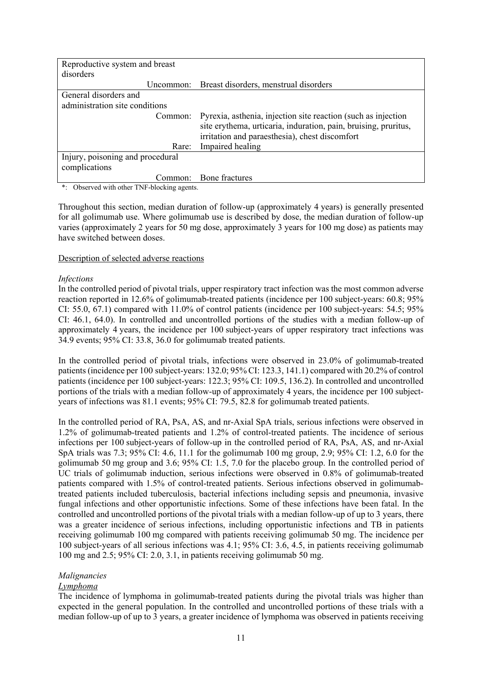| Reproductive system and breast   |                                                                                                                                                                                    |  |  |  |  |
|----------------------------------|------------------------------------------------------------------------------------------------------------------------------------------------------------------------------------|--|--|--|--|
| disorders                        |                                                                                                                                                                                    |  |  |  |  |
|                                  | Uncommon: Breast disorders, menstrual disorders                                                                                                                                    |  |  |  |  |
| General disorders and            |                                                                                                                                                                                    |  |  |  |  |
| administration site conditions   |                                                                                                                                                                                    |  |  |  |  |
| Common:                          | Pyrexia, asthenia, injection site reaction (such as injection<br>site erythema, urticaria, induration, pain, bruising, pruritus,<br>irritation and paraesthesia), chest discomfort |  |  |  |  |
| Rare:                            | Impaired healing                                                                                                                                                                   |  |  |  |  |
| Injury, poisoning and procedural |                                                                                                                                                                                    |  |  |  |  |
| complications                    |                                                                                                                                                                                    |  |  |  |  |
|                                  | Common: Bone fractures                                                                                                                                                             |  |  |  |  |

\*: Observed with other TNF-blocking agents.

Throughout this section, median duration of follow-up (approximately 4 years) is generally presented for all golimumab use. Where golimumab use is described by dose, the median duration of follow-up varies (approximately 2 years for 50 mg dose, approximately 3 years for 100 mg dose) as patients may have switched between doses.

### Description of selected adverse reactions

### *Infections*

In the controlled period of pivotal trials, upper respiratory tract infection was the most common adverse reaction reported in 12.6% of golimumab-treated patients (incidence per 100 subject-years: 60.8; 95% CI: 55.0, 67.1) compared with 11.0% of control patients (incidence per 100 subject-years: 54.5; 95% CI: 46.1, 64.0). In controlled and uncontrolled portions of the studies with a median follow-up of approximately 4 years, the incidence per 100 subject-years of upper respiratory tract infections was 34.9 events; 95% CI: 33.8, 36.0 for golimumab treated patients.

In the controlled period of pivotal trials, infections were observed in 23.0% of golimumab-treated patients (incidence per 100 subject-years: 132.0; 95% CI: 123.3, 141.1) compared with 20.2% of control patients (incidence per 100 subject-years: 122.3; 95% CI: 109.5, 136.2). In controlled and uncontrolled portions of the trials with a median follow-up of approximately 4 years, the incidence per 100 subjectyears of infections was 81.1 events; 95% CI: 79.5, 82.8 for golimumab treated patients.

In the controlled period of RA, PsA, AS, and nr-Axial SpA trials, serious infections were observed in 1.2% of golimumab-treated patients and 1.2% of control-treated patients. The incidence of serious infections per 100 subject-years of follow-up in the controlled period of RA, PsA, AS, and nr-Axial SpA trials was 7.3; 95% CI: 4.6, 11.1 for the golimumab 100 mg group, 2.9; 95% CI: 1.2, 6.0 for the golimumab 50 mg group and 3.6; 95% CI: 1.5, 7.0 for the placebo group. In the controlled period of UC trials of golimumab induction, serious infections were observed in 0.8% of golimumab-treated patients compared with 1.5% of control-treated patients. Serious infections observed in golimumabtreated patients included tuberculosis, bacterial infections including sepsis and pneumonia, invasive fungal infections and other opportunistic infections. Some of these infections have been fatal. In the controlled and uncontrolled portions of the pivotal trials with a median follow-up of up to 3 years, there was a greater incidence of serious infections, including opportunistic infections and TB in patients receiving golimumab 100 mg compared with patients receiving golimumab 50 mg. The incidence per 100 subject-years of all serious infections was 4.1; 95% CI: 3.6, 4.5, in patients receiving golimumab 100 mg and 2.5; 95% CI: 2.0, 3.1, in patients receiving golimumab 50 mg.

## *Malignancies*

### *Lymphoma*

The incidence of lymphoma in golimumab-treated patients during the pivotal trials was higher than expected in the general population. In the controlled and uncontrolled portions of these trials with a median follow-up of up to 3 years, a greater incidence of lymphoma was observed in patients receiving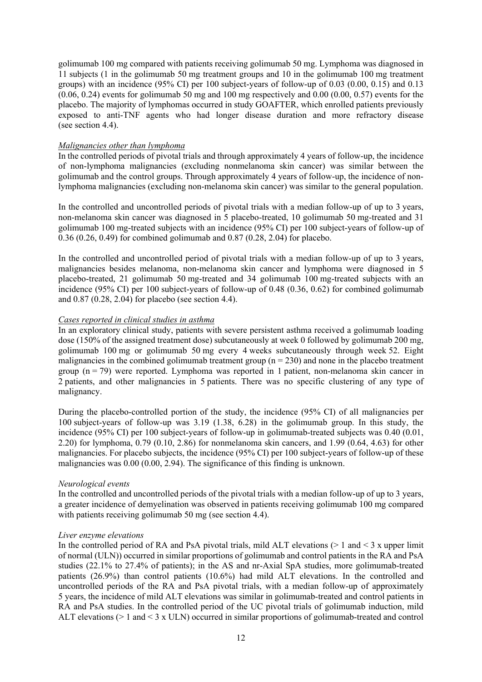golimumab 100 mg compared with patients receiving golimumab 50 mg. Lymphoma was diagnosed in 11 subjects (1 in the golimumab 50 mg treatment groups and 10 in the golimumab 100 mg treatment groups) with an incidence (95% CI) per 100 subject-years of follow-up of 0.03 (0.00, 0.15) and 0.13  $(0.06, 0.24)$  events for golimumab 50 mg and 100 mg respectively and  $(0.00, 0.00, 0.57)$  events for the placebo. The majority of lymphomas occurred in study GOAFTER, which enrolled patients previously exposed to anti-TNF agents who had longer disease duration and more refractory disease (see section 4.4).

### *Malignancies other than lymphoma*

In the controlled periods of pivotal trials and through approximately 4 years of follow-up, the incidence of non-lymphoma malignancies (excluding nonmelanoma skin cancer) was similar between the golimumab and the control groups. Through approximately 4 years of follow-up, the incidence of nonlymphoma malignancies (excluding non-melanoma skin cancer) was similar to the general population.

In the controlled and uncontrolled periods of pivotal trials with a median follow-up of up to 3 years, non-melanoma skin cancer was diagnosed in 5 placebo-treated, 10 golimumab 50 mg-treated and 31 golimumab 100 mg-treated subjects with an incidence (95% CI) per 100 subject-years of follow-up of 0.36 (0.26, 0.49) for combined golimumab and 0.87 (0.28, 2.04) for placebo.

In the controlled and uncontrolled period of pivotal trials with a median follow-up of up to 3 years, malignancies besides melanoma, non-melanoma skin cancer and lymphoma were diagnosed in 5 placebo-treated, 21 golimumab 50 mg-treated and 34 golimumab 100 mg-treated subjects with an incidence (95% CI) per 100 subject-years of follow-up of 0.48 (0.36, 0.62) for combined golimumab and 0.87 (0.28, 2.04) for placebo (see section 4.4).

### *Cases reported in clinical studies in asthma*

In an exploratory clinical study, patients with severe persistent asthma received a golimumab loading dose (150% of the assigned treatment dose) subcutaneously at week 0 followed by golimumab 200 mg, golimumab 100 mg or golimumab 50 mg every 4 weeks subcutaneously through week 52. Eight malignancies in the combined golimumab treatment group  $(n = 230)$  and none in the placebo treatment group  $(n = 79)$  were reported. Lymphoma was reported in 1 patient, non-melanoma skin cancer in 2 patients, and other malignancies in 5 patients. There was no specific clustering of any type of malignancy.

During the placebo-controlled portion of the study, the incidence (95% CI) of all malignancies per 100 subject-years of follow-up was 3.19 (1.38, 6.28) in the golimumab group. In this study, the incidence (95% CI) per 100 subject-years of follow-up in golimumab-treated subjects was 0.40 (0.01, 2.20) for lymphoma, 0.79 (0.10, 2.86) for nonmelanoma skin cancers, and 1.99 (0.64, 4.63) for other malignancies. For placebo subjects, the incidence (95% CI) per 100 subject-years of follow-up of these malignancies was 0.00 (0.00, 2.94). The significance of this finding is unknown.

### *Neurological events*

In the controlled and uncontrolled periods of the pivotal trials with a median follow-up of up to 3 years, a greater incidence of demyelination was observed in patients receiving golimumab 100 mg compared with patients receiving golimumab 50 mg (see section 4.4).

### *Liver enzyme elevations*

In the controlled period of RA and PsA pivotal trials, mild ALT elevations  $(> 1 \text{ and } < 3 \text{ x upper limit})$ of normal (ULN)) occurred in similar proportions of golimumab and control patients in the RA and PsA studies (22.1% to 27.4% of patients); in the AS and nr-Axial SpA studies, more golimumab-treated patients (26.9%) than control patients (10.6%) had mild ALT elevations. In the controlled and uncontrolled periods of the RA and PsA pivotal trials, with a median follow-up of approximately 5 years, the incidence of mild ALT elevations was similar in golimumab-treated and control patients in RA and PsA studies. In the controlled period of the UC pivotal trials of golimumab induction, mild ALT elevations (> 1 and < 3 x ULN) occurred in similar proportions of golimumab-treated and control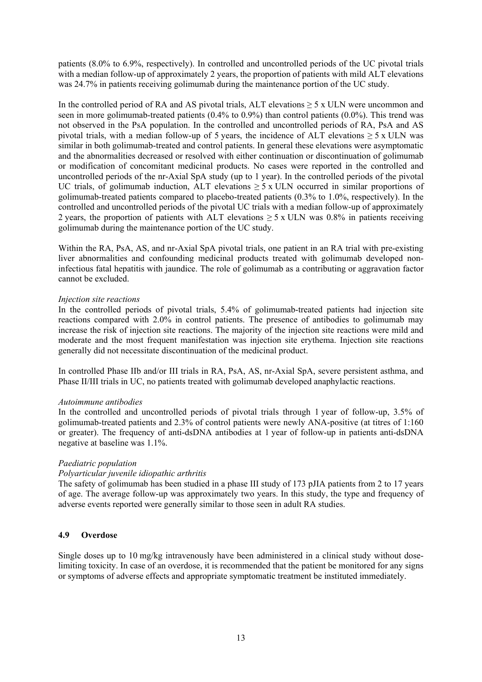patients (8.0% to 6.9%, respectively). In controlled and uncontrolled periods of the UC pivotal trials with a median follow-up of approximately 2 years, the proportion of patients with mild ALT elevations was 24.7% in patients receiving golimumab during the maintenance portion of the UC study.

In the controlled period of RA and AS pivotal trials, ALT elevations  $\geq$  5 x ULN were uncommon and seen in more golimumab-treated patients (0.4% to 0.9%) than control patients (0.0%). This trend was not observed in the PsA population. In the controlled and uncontrolled periods of RA, PsA and AS pivotal trials, with a median follow-up of 5 years, the incidence of ALT elevations  $\geq$  5 x ULN was similar in both golimumab-treated and control patients. In general these elevations were asymptomatic and the abnormalities decreased or resolved with either continuation or discontinuation of golimumab or modification of concomitant medicinal products. No cases were reported in the controlled and uncontrolled periods of the nr-Axial SpA study (up to 1 year). In the controlled periods of the pivotal UC trials, of golimumab induction, ALT elevations  $\geq 5$  x ULN occurred in similar proportions of golimumab-treated patients compared to placebo-treated patients (0.3% to 1.0%, respectively). In the controlled and uncontrolled periods of the pivotal UC trials with a median follow-up of approximately 2 years, the proportion of patients with ALT elevations  $\geq 5$  x ULN was 0.8% in patients receiving golimumab during the maintenance portion of the UC study.

Within the RA, PsA, AS, and nr-Axial SpA pivotal trials, one patient in an RA trial with pre-existing liver abnormalities and confounding medicinal products treated with golimumab developed noninfectious fatal hepatitis with jaundice. The role of golimumab as a contributing or aggravation factor cannot be excluded.

### *Injection site reactions*

In the controlled periods of pivotal trials, 5.4% of golimumab-treated patients had injection site reactions compared with 2.0% in control patients. The presence of antibodies to golimumab may increase the risk of injection site reactions. The majority of the injection site reactions were mild and moderate and the most frequent manifestation was injection site erythema. Injection site reactions generally did not necessitate discontinuation of the medicinal product.

In controlled Phase IIb and/or III trials in RA, PsA, AS, nr-Axial SpA, severe persistent asthma, and Phase II/III trials in UC, no patients treated with golimumab developed anaphylactic reactions.

### *Autoimmune antibodies*

In the controlled and uncontrolled periods of pivotal trials through 1 year of follow-up, 3.5% of golimumab-treated patients and 2.3% of control patients were newly ANA-positive (at titres of 1:160 or greater). The frequency of anti-dsDNA antibodies at 1 year of follow-up in patients anti-dsDNA negative at baseline was 1.1%.

### *Paediatric population*

### *Polyarticular juvenile idiopathic arthritis*

The safety of golimumab has been studied in a phase III study of 173 pJIA patients from 2 to 17 years of age. The average follow-up was approximately two years. In this study, the type and frequency of adverse events reported were generally similar to those seen in adult RA studies.

# **4.9 Overdose**

Single doses up to 10 mg/kg intravenously have been administered in a clinical study without doselimiting toxicity. In case of an overdose, it is recommended that the patient be monitored for any signs or symptoms of adverse effects and appropriate symptomatic treatment be instituted immediately.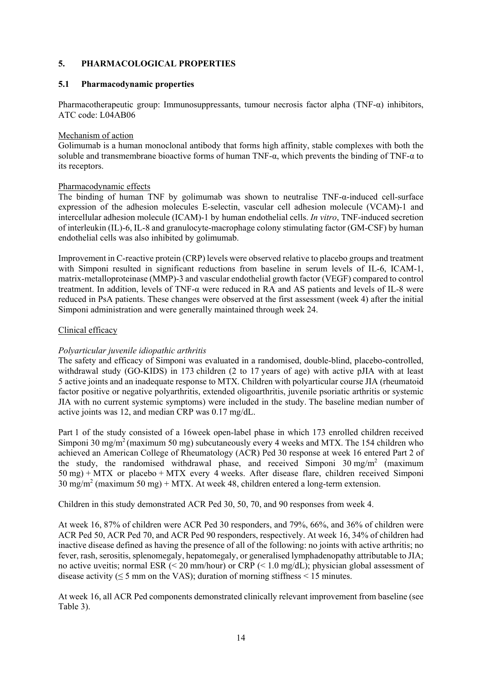## **5. PHARMACOLOGICAL PROPERTIES**

### **5.1 Pharmacodynamic properties**

Pharmacotherapeutic group: Immunosuppressants, tumour necrosis factor alpha (TNF- $\alpha$ ) inhibitors, ATC code: L04AB06

### Mechanism of action

Golimumab is a human monoclonal antibody that forms high affinity, stable complexes with both the soluble and transmembrane bioactive forms of human TNF- $\alpha$ , which prevents the binding of TNF- $\alpha$  to its receptors.

### Pharmacodynamic effects

The binding of human TNF by golimumab was shown to neutralise TNF-α-induced cell-surface expression of the adhesion molecules E-selectin, vascular cell adhesion molecule (VCAM)-1 and intercellular adhesion molecule (ICAM)-1 by human endothelial cells. *In vitro*, TNF-induced secretion of interleukin (IL)-6, IL-8 and granulocyte-macrophage colony stimulating factor (GM-CSF) by human endothelial cells was also inhibited by golimumab.

Improvement in C-reactive protein (CRP) levels were observed relative to placebo groups and treatment with Simponi resulted in significant reductions from baseline in serum levels of IL-6, ICAM-1, matrix-metalloproteinase (MMP)-3 and vascular endothelial growth factor (VEGF) compared to control treatment. In addition, levels of TNF-α were reduced in RA and AS patients and levels of IL-8 were reduced in PsA patients. These changes were observed at the first assessment (week 4) after the initial Simponi administration and were generally maintained through week 24.

### Clinical efficacy

### *Polyarticular juvenile idiopathic arthritis*

The safety and efficacy of Simponi was evaluated in a randomised, double-blind, placebo-controlled, withdrawal study (GO-KIDS) in 173 children (2 to 17 years of age) with active pJIA with at least 5 active joints and an inadequate response to MTX. Children with polyarticular course JIA (rheumatoid factor positive or negative polyarthritis, extended oligoarthritis, juvenile psoriatic arthritis or systemic JIA with no current systemic symptoms) were included in the study. The baseline median number of active joints was 12, and median CRP was 0.17 mg/dL.

Part 1 of the study consisted of a 16week open-label phase in which 173 enrolled children received Simponi 30 mg/m<sup>2</sup> (maximum 50 mg) subcutaneously every 4 weeks and MTX. The 154 children who achieved an American College of Rheumatology (ACR) Ped 30 response at week 16 entered Part 2 of the study, the randomised withdrawal phase, and received Simponi  $30 \text{ mg/m}^2$  (maximum 50 mg) + MTX or placebo + MTX every 4 weeks. After disease flare, children received Simponi  $30 \text{ mg/m}^2$  (maximum  $50 \text{ mg}$ ) + MTX. At week 48, children entered a long-term extension.

Children in this study demonstrated ACR Ped 30, 50, 70, and 90 responses from week 4.

At week 16, 87% of children were ACR Ped 30 responders, and 79%, 66%, and 36% of children were ACR Ped 50, ACR Ped 70, and ACR Ped 90 responders, respectively. At week 16, 34% of children had inactive disease defined as having the presence of all of the following: no joints with active arthritis; no fever, rash, serositis, splenomegaly, hepatomegaly, or generalised lymphadenopathy attributable to JIA; no active uveitis; normal ESR (< 20 mm/hour) or CRP (< 1.0 mg/dL); physician global assessment of disease activity ( $\leq$  5 mm on the VAS); duration of morning stiffness  $\leq$  15 minutes.

At week 16, all ACR Ped components demonstrated clinically relevant improvement from baseline (see Table 3).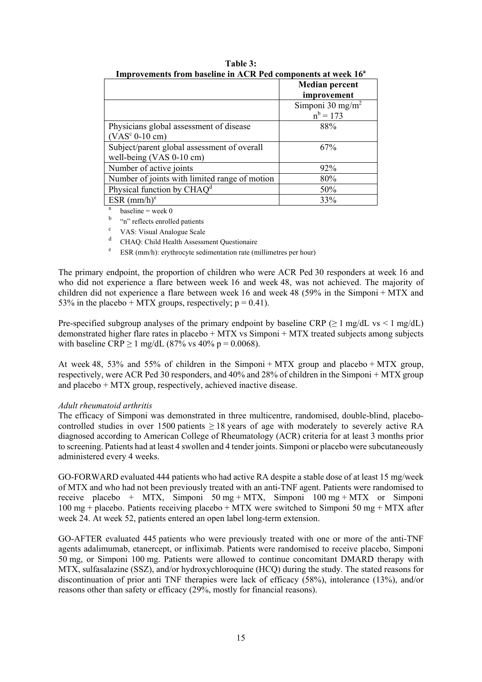| пирготененея п онгражние нглелеге са сопроценея ас week то              |                                             |  |  |  |  |
|-------------------------------------------------------------------------|---------------------------------------------|--|--|--|--|
|                                                                         | <b>Median percent</b><br>improvement        |  |  |  |  |
|                                                                         | Simponi 30 mg/m <sup>2</sup><br>$n^b = 173$ |  |  |  |  |
| Physicians global assessment of disease<br>$(VASc 0-10 cm)$             | 88%                                         |  |  |  |  |
| Subject/parent global assessment of overall<br>well-being (VAS 0-10 cm) | 67%                                         |  |  |  |  |
| Number of active joints                                                 | 92%                                         |  |  |  |  |
| Number of joints with limited range of motion                           | 80%                                         |  |  |  |  |
| Physical function by $CHAQd$                                            | 50%                                         |  |  |  |  |
| ESR $(mm/h)e$                                                           | 33%                                         |  |  |  |  |

**Table 3: Improvements from baseline in ACR Ped components at week 16a**

a baseline  $=$  week  $0$ 

b "n" reflects enrolled patients

c VAS: Visual Analogue Scale

d CHAQ: Child Health Assessment Questionaire

e ESR (mm/h): erythrocyte sedimentation rate (millimetres per hour)

The primary endpoint, the proportion of children who were ACR Ped 30 responders at week 16 and who did not experience a flare between week 16 and week 48, was not achieved. The majority of children did not experience a flare between week 16 and week 48 (59% in the Simponi + MTX and 53% in the placebo + MTX groups, respectively;  $p = 0.41$ ).

Pre-specified subgroup analyses of the primary endpoint by baseline CRP ( $\geq 1$  mg/dL vs < 1 mg/dL) demonstrated higher flare rates in placebo + MTX vs Simponi + MTX treated subjects among subjects with baseline CRP  $\geq 1$  mg/dL (87% vs 40% p = 0.0068).

At week 48, 53% and 55% of children in the Simponi + MTX group and placebo + MTX group, respectively, were ACR Ped 30 responders, and 40% and 28% of children in the Simponi + MTX group and placebo + MTX group, respectively, achieved inactive disease.

### *Adult rheumatoid arthritis*

The efficacy of Simponi was demonstrated in three multicentre, randomised, double-blind, placebocontrolled studies in over 1500 patients  $\geq$  18 years of age with moderately to severely active RA diagnosed according to American College of Rheumatology (ACR) criteria for at least 3 months prior to screening. Patients had at least 4 swollen and 4 tender joints. Simponi or placebo were subcutaneously administered every 4 weeks.

GO-FORWARD evaluated 444 patients who had active RA despite a stable dose of at least 15 mg/week of MTX and who had not been previously treated with an anti-TNF agent. Patients were randomised to receive placebo + MTX, Simponi 50 mg + MTX, Simponi 100 mg + MTX or Simponi 100 mg + placebo. Patients receiving placebo + MTX were switched to Simponi 50 mg + MTX after week 24. At week 52, patients entered an open label long-term extension.

GO-AFTER evaluated 445 patients who were previously treated with one or more of the anti-TNF agents adalimumab, etanercept, or infliximab. Patients were randomised to receive placebo, Simponi 50 mg, or Simponi 100 mg. Patients were allowed to continue concomitant DMARD therapy with MTX, sulfasalazine (SSZ), and/or hydroxychloroquine (HCQ) during the study. The stated reasons for discontinuation of prior anti TNF therapies were lack of efficacy (58%), intolerance (13%), and/or reasons other than safety or efficacy (29%, mostly for financial reasons).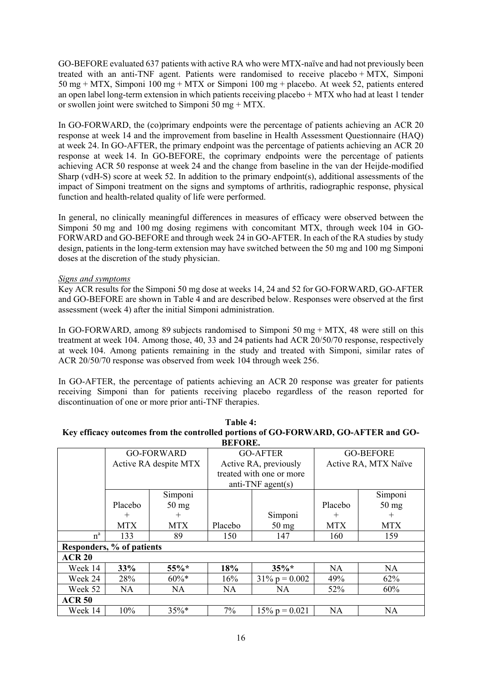GO-BEFORE evaluated 637 patients with active RA who were MTX-naïve and had not previously been treated with an anti-TNF agent. Patients were randomised to receive placebo + MTX, Simponi 50 mg + MTX, Simponi 100 mg + MTX or Simponi 100 mg + placebo. At week 52, patients entered an open label long-term extension in which patients receiving placebo + MTX who had at least 1 tender or swollen joint were switched to Simponi 50 mg + MTX.

In GO-FORWARD, the (co)primary endpoints were the percentage of patients achieving an ACR 20 response at week 14 and the improvement from baseline in Health Assessment Questionnaire (HAQ) at week 24. In GO-AFTER, the primary endpoint was the percentage of patients achieving an ACR 20 response at week 14. In GO-BEFORE, the coprimary endpoints were the percentage of patients achieving ACR 50 response at week 24 and the change from baseline in the van der Heijde-modified Sharp (vdH-S) score at week 52. In addition to the primary endpoint(s), additional assessments of the impact of Simponi treatment on the signs and symptoms of arthritis, radiographic response, physical function and health-related quality of life were performed.

In general, no clinically meaningful differences in measures of efficacy were observed between the Simponi 50 mg and 100 mg dosing regimens with concomitant MTX, through week 104 in GO-FORWARD and GO-BEFORE and through week 24 in GO-AFTER. In each of the RA studies by study design, patients in the long-term extension may have switched between the 50 mg and 100 mg Simponi doses at the discretion of the study physician.

### *Signs and symptoms*

Key ACR results for the Simponi 50 mg dose at weeks 14, 24 and 52 for GO-FORWARD, GO-AFTER and GO-BEFORE are shown in Table 4 and are described below. Responses were observed at the first assessment (week 4) after the initial Simponi administration.

In GO-FORWARD, among 89 subjects randomised to Simponi 50 mg  $+$  MTX, 48 were still on this treatment at week 104. Among those, 40, 33 and 24 patients had ACR 20/50/70 response, respectively at week 104. Among patients remaining in the study and treated with Simponi, similar rates of ACR 20/50/70 response was observed from week 104 through week 256.

In GO-AFTER, the percentage of patients achieving an ACR 20 response was greater for patients receiving Simponi than for patients receiving placebo regardless of the reason reported for discontinuation of one or more prior anti-TNF therapies.

| IXY CHICACY VULCOMES II OM THE CONTEQUEU DOI HONS OF OOST OIX WAXD, OOSNE LEIX AND OOS |                       |                 |                          |                  |                      |                 |  |  |
|----------------------------------------------------------------------------------------|-----------------------|-----------------|--------------------------|------------------|----------------------|-----------------|--|--|
|                                                                                        | <b>BEFORE.</b>        |                 |                          |                  |                      |                 |  |  |
|                                                                                        | <b>GO-FORWARD</b>     |                 | <b>GO-AFTER</b>          |                  | <b>GO-BEFORE</b>     |                 |  |  |
|                                                                                        | Active RA despite MTX |                 | Active RA, previously    |                  | Active RA, MTX Naïve |                 |  |  |
|                                                                                        |                       |                 | treated with one or more |                  |                      |                 |  |  |
|                                                                                        |                       |                 | anti-TNF agent(s)        |                  |                      |                 |  |  |
|                                                                                        |                       | Simponi         |                          |                  |                      | Simponi         |  |  |
|                                                                                        | Placebo               | $50 \text{ mg}$ |                          |                  | Placebo              | $50 \text{ mg}$ |  |  |
|                                                                                        | $^{+}$                | $^{+}$          |                          | Simponi          | $^{+}$               | $^{+}$          |  |  |
|                                                                                        | <b>MTX</b>            | <b>MTX</b>      | Placebo                  | $50 \text{ mg}$  | <b>MTX</b>           | <b>MTX</b>      |  |  |
| $n^a$                                                                                  | 133                   | 89              | 150                      | 147              | 160                  | 159             |  |  |
| Responders, % of patients                                                              |                       |                 |                          |                  |                      |                 |  |  |
| <b>ACR 20</b>                                                                          |                       |                 |                          |                  |                      |                 |  |  |
| Week 14                                                                                | 33%                   | $55\%*$         | 18%                      | $35\%*$          | NA.                  | <b>NA</b>       |  |  |
| Week 24                                                                                | 28%                   | $60\%*$         | 16%                      | $31\% p = 0.002$ | 49%                  | 62%             |  |  |
| Week 52                                                                                | <b>NA</b>             | <b>NA</b>       | <b>NA</b>                | <b>NA</b>        | 52%                  | 60%             |  |  |
| <b>ACR 50</b>                                                                          |                       |                 |                          |                  |                      |                 |  |  |
| Week 14                                                                                | 10%                   | $35\%*$         | $7\%$                    | $15\% p = 0.021$ | <b>NA</b>            | <b>NA</b>       |  |  |

| Table 4:                                                                           |
|------------------------------------------------------------------------------------|
| Key efficacy outcomes from the controlled portions of GO-FORWARD, GO-AFTER and GO- |
| <b>REFODE</b>                                                                      |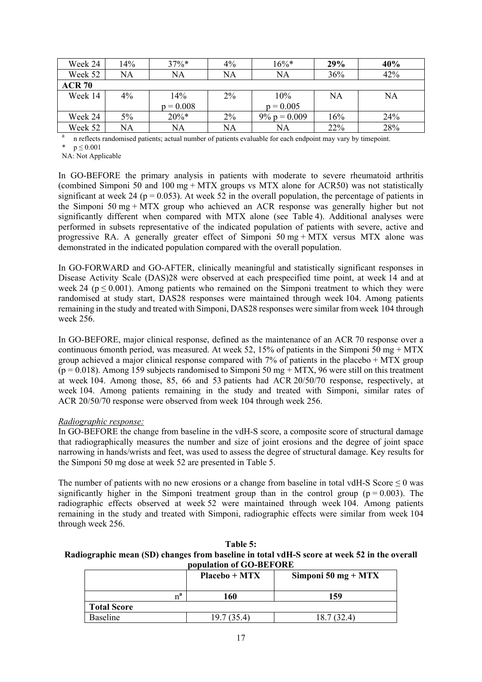| Week 24       | 14%   | $37\%$ *    | $4\%$     | $16\%*$         | <b>29%</b> | 40% |  |
|---------------|-------|-------------|-----------|-----------------|------------|-----|--|
| Week 52       | NA    | NA          | NA        | NA              | 36%        | 42% |  |
| <b>ACR 70</b> |       |             |           |                 |            |     |  |
| Week 14       | $4\%$ | 14%         | $2\%$     | 10%             | <b>NA</b>  | NA  |  |
|               |       | $p = 0.008$ |           | $p = 0.005$     |            |     |  |
| Week 24       | 5%    | $20\%*$     | 2%        | $9\% p = 0.009$ | 16%        | 24% |  |
| Week 52       | NA    | NA          | <b>NA</b> | NA              | 22%        | 28% |  |

<sup>a</sup> n reflects randomised patients; actual number of patients evaluable for each endpoint may vary by timepoint.

\*  $p \le 0.001$ 

NA: Not Applicable

In GO-BEFORE the primary analysis in patients with moderate to severe rheumatoid arthritis (combined Simponi 50 and 100 mg + MTX groups vs MTX alone for ACR50) was not statistically significant at week 24 ( $p = 0.053$ ). At week 52 in the overall population, the percentage of patients in the Simponi 50 mg + MTX group who achieved an ACR response was generally higher but not significantly different when compared with MTX alone (see Table 4). Additional analyses were performed in subsets representative of the indicated population of patients with severe, active and progressive RA. A generally greater effect of Simponi  $50 \text{ mg} + \text{MTX}$  versus MTX alone was demonstrated in the indicated population compared with the overall population.

In GO-FORWARD and GO-AFTER, clinically meaningful and statistically significant responses in Disease Activity Scale (DAS)28 were observed at each prespecified time point, at week 14 and at week 24 ( $p \le 0.001$ ). Among patients who remained on the Simponi treatment to which they were randomised at study start, DAS28 responses were maintained through week 104. Among patients remaining in the study and treated with Simponi, DAS28 responses were similar from week 104 through week 256.

In GO-BEFORE, major clinical response, defined as the maintenance of an ACR 70 response over a continuous 6month period, was measured. At week 52, 15% of patients in the Simponi 50 mg + MTX group achieved a major clinical response compared with 7% of patients in the placebo + MTX group  $(p = 0.018)$ . Among 159 subjects randomised to Simponi 50 mg + MTX, 96 were still on this treatment at week 104. Among those, 85, 66 and 53 patients had ACR 20/50/70 response, respectively, at week 104. Among patients remaining in the study and treated with Simponi, similar rates of ACR 20/50/70 response were observed from week 104 through week 256.

### *Radiographic response:*

In GO-BEFORE the change from baseline in the vdH-S score, a composite score of structural damage that radiographically measures the number and size of joint erosions and the degree of joint space narrowing in hands/wrists and feet, was used to assess the degree of structural damage. Key results for the Simponi 50 mg dose at week 52 are presented in Table 5.

The number of patients with no new erosions or a change from baseline in total vdH-S Score  $\leq 0$  was significantly higher in the Simponi treatment group than in the control group ( $p = 0.003$ ). The radiographic effects observed at week 52 were maintained through week 104. Among patients remaining in the study and treated with Simponi, radiographic effects were similar from week 104 through week 256.

| Table 5:                                                                                    |
|---------------------------------------------------------------------------------------------|
| Radiographic mean (SD) changes from baseline in total vdH-S score at week 52 in the overall |
| population of GO-BEFORE                                                                     |

|                    | $Placebo + MTX$ | Simponi 50 mg + $MTX$ |
|--------------------|-----------------|-----------------------|
| $n^a$              | 160             | 159                   |
| <b>Total Score</b> |                 |                       |
| <b>Baseline</b>    | 19.7 (35.4)     | 18.7 (32.4)           |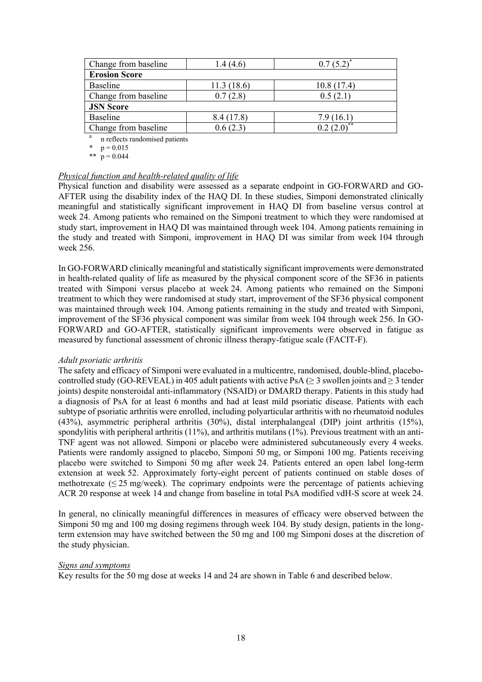| Change from baseline | 1.4 (4.6)  | 0.7(5.2)   |  |  |  |  |  |
|----------------------|------------|------------|--|--|--|--|--|
| <b>Erosion Score</b> |            |            |  |  |  |  |  |
| Baseline             | 11.3(18.6) | 10.8(17.4) |  |  |  |  |  |
| Change from baseline | 0.7(2.8)   | 0.5(2.1)   |  |  |  |  |  |
| <b>JSN Score</b>     |            |            |  |  |  |  |  |
| Baseline             | 8.4(17.8)  | 7.9(16.1)  |  |  |  |  |  |
| Change from baseline | 0.6(2.3)   |            |  |  |  |  |  |

<sup>a</sup> n reflects randomised patients

 $p = 0.015$ 

\*\*  $p = 0.044$ 

### *Physical function and health-related quality of life*

Physical function and disability were assessed as a separate endpoint in GO-FORWARD and GO-AFTER using the disability index of the HAQ DI. In these studies, Simponi demonstrated clinically meaningful and statistically significant improvement in HAQ DI from baseline versus control at week 24. Among patients who remained on the Simponi treatment to which they were randomised at study start, improvement in HAQ DI was maintained through week 104. Among patients remaining in the study and treated with Simponi, improvement in HAQ DI was similar from week 104 through week 256.

In GO-FORWARD clinically meaningful and statistically significant improvements were demonstrated in health-related quality of life as measured by the physical component score of the SF36 in patients treated with Simponi versus placebo at week 24. Among patients who remained on the Simponi treatment to which they were randomised at study start, improvement of the SF36 physical component was maintained through week 104. Among patients remaining in the study and treated with Simponi, improvement of the SF36 physical component was similar from week 104 through week 256. In GO-FORWARD and GO-AFTER, statistically significant improvements were observed in fatigue as measured by functional assessment of chronic illness therapy-fatigue scale (FACIT-F).

### *Adult psoriatic arthritis*

The safety and efficacy of Simponi were evaluated in a multicentre, randomised, double-blind, placebocontrolled study (GO-REVEAL) in 405 adult patients with active PsA ( $\geq$  3 swollen joints and  $\geq$  3 tender joints) despite nonsteroidal anti-inflammatory (NSAID) or DMARD therapy. Patients in this study had a diagnosis of PsA for at least 6 months and had at least mild psoriatic disease. Patients with each subtype of psoriatic arthritis were enrolled, including polyarticular arthritis with no rheumatoid nodules (43%), asymmetric peripheral arthritis (30%), distal interphalangeal (DIP) joint arthritis (15%), spondylitis with peripheral arthritis  $(11\%)$ , and arthritis mutilans  $(1\%)$ . Previous treatment with an anti-TNF agent was not allowed. Simponi or placebo were administered subcutaneously every 4 weeks. Patients were randomly assigned to placebo, Simponi 50 mg, or Simponi 100 mg. Patients receiving placebo were switched to Simponi 50 mg after week 24. Patients entered an open label long-term extension at week 52. Approximately forty-eight percent of patients continued on stable doses of methotrexate  $(\leq 25 \text{ mg/week})$ . The coprimary endpoints were the percentage of patients achieving ACR 20 response at week 14 and change from baseline in total PsA modified vdH-S score at week 24.

In general, no clinically meaningful differences in measures of efficacy were observed between the Simponi 50 mg and 100 mg dosing regimens through week 104. By study design, patients in the longterm extension may have switched between the 50 mg and 100 mg Simponi doses at the discretion of the study physician.

### *Signs and symptoms*

Key results for the 50 mg dose at weeks 14 and 24 are shown in Table 6 and described below.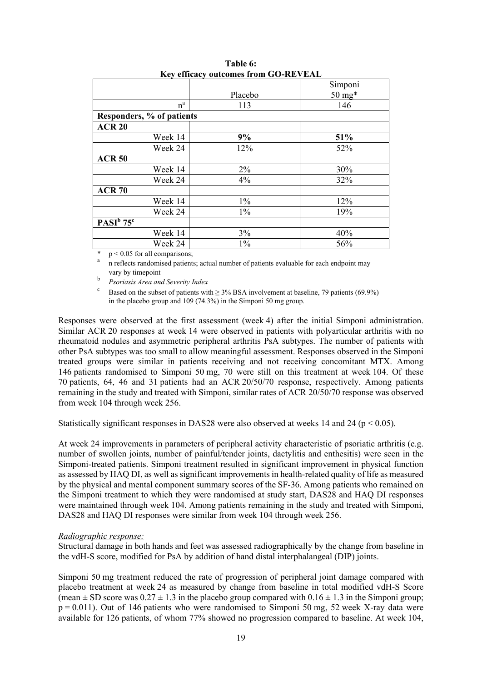|                           | Simponi |
|---------------------------|---------|
| Placebo                   | 50 mg*  |
| 113                       | 146     |
| Responders, % of patients |         |
|                           |         |
| 9%                        | 51%     |
| 12%                       | 52%     |
|                           |         |
| $2\%$                     | 30%     |
| 4%                        | 32%     |
|                           |         |
| $1\%$                     | 12%     |
| $1\%$                     | 19%     |
|                           |         |
| 3%                        | 40%     |
| $1\%$                     | 56%     |
|                           |         |

**Table 6: Key efficacy outcomes from GO-REVEAL**

 $p < 0.05$  for all comparisons;

<sup>a</sup> n reflects randomised patients; actual number of patients evaluable for each endpoint may vary by timepoint

<sup>b</sup> *Psoriasis Area and Severity Index*

<sup>c</sup> Based on the subset of patients with  $\geq$  3% BSA involvement at baseline, 79 patients (69.9%) in the placebo group and 109 (74.3%) in the Simponi 50 mg group.

Responses were observed at the first assessment (week 4) after the initial Simponi administration. Similar ACR 20 responses at week 14 were observed in patients with polyarticular arthritis with no rheumatoid nodules and asymmetric peripheral arthritis PsA subtypes. The number of patients with other PsA subtypes was too small to allow meaningful assessment. Responses observed in the Simponi treated groups were similar in patients receiving and not receiving concomitant MTX. Among 146 patients randomised to Simponi 50 mg, 70 were still on this treatment at week 104. Of these 70 patients, 64, 46 and 31 patients had an ACR 20/50/70 response, respectively. Among patients remaining in the study and treated with Simponi, similar rates of ACR 20/50/70 response was observed from week 104 through week 256.

Statistically significant responses in DAS28 were also observed at weeks 14 and 24 ( $p < 0.05$ ).

At week 24 improvements in parameters of peripheral activity characteristic of psoriatic arthritis (e.g. number of swollen joints, number of painful/tender joints, dactylitis and enthesitis) were seen in the Simponi-treated patients. Simponi treatment resulted in significant improvement in physical function as assessed by HAQ DI, as well as significant improvements in health-related quality of life as measured by the physical and mental component summary scores of the SF-36. Among patients who remained on the Simponi treatment to which they were randomised at study start, DAS28 and HAQ DI responses were maintained through week 104. Among patients remaining in the study and treated with Simponi, DAS28 and HAQ DI responses were similar from week 104 through week 256.

### *Radiographic response:*

Structural damage in both hands and feet was assessed radiographically by the change from baseline in the vdH-S score, modified for PsA by addition of hand distal interphalangeal (DIP) joints.

Simponi 50 mg treatment reduced the rate of progression of peripheral joint damage compared with placebo treatment at week 24 as measured by change from baseline in total modified vdH-S Score (mean  $\pm$  SD score was  $0.27 \pm 1.3$  in the placebo group compared with  $0.16 \pm 1.3$  in the Simponi group;  $p = 0.011$ ). Out of 146 patients who were randomised to Simponi 50 mg, 52 week X-ray data were available for 126 patients, of whom 77% showed no progression compared to baseline. At week 104,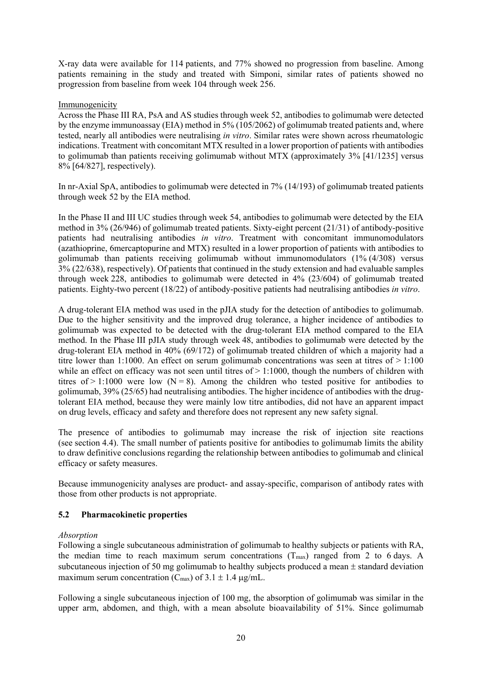X-ray data were available for 114 patients, and 77% showed no progression from baseline. Among patients remaining in the study and treated with Simponi, similar rates of patients showed no progression from baseline from week 104 through week 256.

### Immunogenicity

Across the Phase III RA, PsA and AS studies through week 52, antibodies to golimumab were detected by the enzyme immunoassay (EIA) method in 5% (105/2062) of golimumab treated patients and, where tested, nearly all antibodies were neutralising *in vitro*. Similar rates were shown across rheumatologic indications. Treatment with concomitant MTX resulted in a lower proportion of patients with antibodies to golimumab than patients receiving golimumab without MTX (approximately 3% [41/1235] versus 8% [64/827], respectively).

In nr-Axial SpA, antibodies to golimumab were detected in 7% (14/193) of golimumab treated patients through week 52 by the EIA method.

In the Phase II and III UC studies through week 54, antibodies to golimumab were detected by the EIA method in 3% (26/946) of golimumab treated patients. Sixty-eight percent (21/31) of antibody-positive patients had neutralising antibodies *in vitro*. Treatment with concomitant immunomodulators (azathioprine, 6mercaptopurine and MTX) resulted in a lower proportion of patients with antibodies to golimumab than patients receiving golimumab without immunomodulators (1% (4/308) versus 3% (22/638), respectively). Of patients that continued in the study extension and had evaluable samples through week 228, antibodies to golimumab were detected in 4% (23/604) of golimumab treated patients. Eighty-two percent (18/22) of antibody-positive patients had neutralising antibodies *in vitro*.

A drug-tolerant EIA method was used in the pJIA study for the detection of antibodies to golimumab. Due to the higher sensitivity and the improved drug tolerance, a higher incidence of antibodies to golimumab was expected to be detected with the drug-tolerant EIA method compared to the EIA method. In the Phase III pJIA study through week 48, antibodies to golimumab were detected by the drug-tolerant EIA method in 40% (69/172) of golimumab treated children of which a majority had a titre lower than 1:1000. An effect on serum golimumab concentrations was seen at titres of  $> 1:100$ while an effect on efficacy was not seen until titres of  $> 1:1000$ , though the numbers of children with titres of > 1:1000 were low (N = 8). Among the children who tested positive for antibodies to golimumab, 39% (25/65) had neutralising antibodies. The higher incidence of antibodies with the drugtolerant EIA method, because they were mainly low titre antibodies, did not have an apparent impact on drug levels, efficacy and safety and therefore does not represent any new safety signal.

The presence of antibodies to golimumab may increase the risk of injection site reactions (see section 4.4). The small number of patients positive for antibodies to golimumab limits the ability to draw definitive conclusions regarding the relationship between antibodies to golimumab and clinical efficacy or safety measures.

Because immunogenicity analyses are product- and assay-specific, comparison of antibody rates with those from other products is not appropriate.

### **5.2 Pharmacokinetic properties**

### *Absorption*

Following a single subcutaneous administration of golimumab to healthy subjects or patients with RA, the median time to reach maximum serum concentrations  $(T_{max})$  ranged from 2 to 6 days. A subcutaneous injection of 50 mg golimumab to healthy subjects produced a mean  $\pm$  standard deviation maximum serum concentration ( $C_{\text{max}}$ ) of 3.1  $\pm$  1.4  $\mu$ g/mL.

Following a single subcutaneous injection of 100 mg, the absorption of golimumab was similar in the upper arm, abdomen, and thigh, with a mean absolute bioavailability of 51%. Since golimumab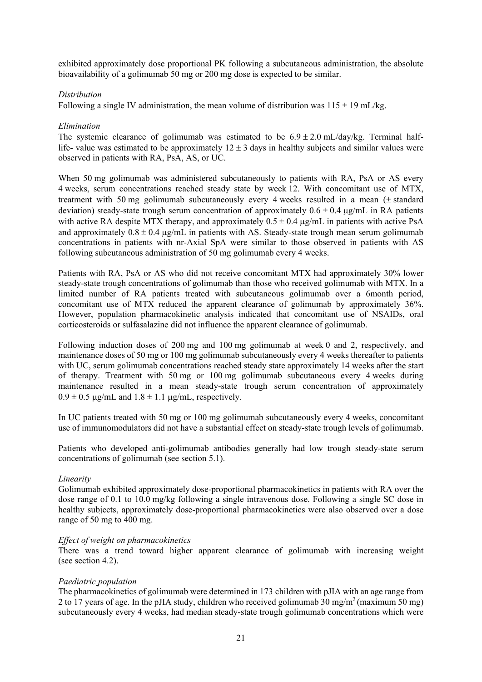exhibited approximately dose proportional PK following a subcutaneous administration, the absolute bioavailability of a golimumab 50 mg or 200 mg dose is expected to be similar.

## *Distribution*

Following a single IV administration, the mean volume of distribution was  $115 \pm 19$  mL/kg.

## *Elimination*

The systemic clearance of golimumab was estimated to be  $6.9 \pm 2.0$  mL/day/kg. Terminal halflife- value was estimated to be approximately  $12 \pm 3$  days in healthy subjects and similar values were observed in patients with RA, PsA, AS, or UC.

When 50 mg golimumab was administered subcutaneously to patients with RA, PsA or AS every 4 weeks, serum concentrations reached steady state by week 12. With concomitant use of MTX, treatment with 50 mg golimumab subcutaneously every 4 weeks resulted in a mean  $(± standard)$ deviation) steady-state trough serum concentration of approximately  $0.6 \pm 0.4$  ug/mL in RA patients with active RA despite MTX therapy, and approximately  $0.5 \pm 0.4 \,\mu$ g/mL in patients with active PsA and approximately  $0.8 \pm 0.4$  ug/mL in patients with AS. Steady-state trough mean serum golimumab concentrations in patients with nr-Axial SpA were similar to those observed in patients with AS following subcutaneous administration of 50 mg golimumab every 4 weeks.

Patients with RA, PsA or AS who did not receive concomitant MTX had approximately 30% lower steady-state trough concentrations of golimumab than those who received golimumab with MTX. In a limited number of RA patients treated with subcutaneous golimumab over a 6month period, concomitant use of MTX reduced the apparent clearance of golimumab by approximately 36%. However, population pharmacokinetic analysis indicated that concomitant use of NSAIDs, oral corticosteroids or sulfasalazine did not influence the apparent clearance of golimumab.

Following induction doses of 200 mg and 100 mg golimumab at week 0 and 2, respectively, and maintenance doses of 50 mg or 100 mg golimumab subcutaneously every 4 weeks thereafter to patients with UC, serum golimumab concentrations reached steady state approximately 14 weeks after the start of therapy. Treatment with 50 mg or 100 mg golimumab subcutaneous every 4 weeks during maintenance resulted in a mean steady-state trough serum concentration of approximately  $0.9 \pm 0.5$  ug/mL and  $1.8 \pm 1.1$  ug/mL, respectively.

In UC patients treated with 50 mg or 100 mg golimumab subcutaneously every 4 weeks, concomitant use of immunomodulators did not have a substantial effect on steady-state trough levels of golimumab.

Patients who developed anti-golimumab antibodies generally had low trough steady-state serum concentrations of golimumab (see section 5.1).

### *Linearity*

Golimumab exhibited approximately dose-proportional pharmacokinetics in patients with RA over the dose range of 0.1 to 10.0 mg/kg following a single intravenous dose. Following a single SC dose in healthy subjects, approximately dose-proportional pharmacokinetics were also observed over a dose range of 50 mg to 400 mg.

### *Effect of weight on pharmacokinetics*

There was a trend toward higher apparent clearance of golimumab with increasing weight (see section 4.2).

### *Paediatric population*

The pharmacokinetics of golimumab were determined in 173 children with pJIA with an age range from 2 to 17 years of age. In the pJIA study, children who received golimumab 30 mg/m<sup>2</sup> (maximum 50 mg) subcutaneously every 4 weeks, had median steady-state trough golimumab concentrations which were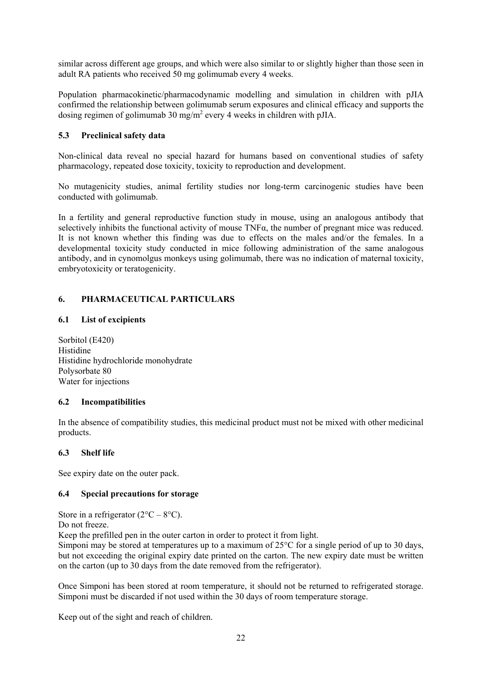similar across different age groups, and which were also similar to or slightly higher than those seen in adult RA patients who received 50 mg golimumab every 4 weeks.

Population pharmacokinetic/pharmacodynamic modelling and simulation in children with pJIA confirmed the relationship between golimumab serum exposures and clinical efficacy and supports the dosing regimen of golimumab 30 mg/m<sup>2</sup> every 4 weeks in children with pJIA.

# **5.3 Preclinical safety data**

Non-clinical data reveal no special hazard for humans based on conventional studies of safety pharmacology, repeated dose toxicity, toxicity to reproduction and development.

No mutagenicity studies, animal fertility studies nor long-term carcinogenic studies have been conducted with golimumab.

In a fertility and general reproductive function study in mouse, using an analogous antibody that selectively inhibits the functional activity of mouse TNFα, the number of pregnant mice was reduced. It is not known whether this finding was due to effects on the males and/or the females. In a developmental toxicity study conducted in mice following administration of the same analogous antibody, and in cynomolgus monkeys using golimumab, there was no indication of maternal toxicity, embryotoxicity or teratogenicity.

## **6. PHARMACEUTICAL PARTICULARS**

### **6.1 List of excipients**

Sorbitol (E420) Histidine Histidine hydrochloride monohydrate Polysorbate 80 Water for injections

### **6.2 Incompatibilities**

In the absence of compatibility studies, this medicinal product must not be mixed with other medicinal products.

### **6.3 Shelf life**

See expiry date on the outer pack.

### **6.4 Special precautions for storage**

Store in a refrigerator  $(2^{\circ}C - 8^{\circ}C)$ .

Do not freeze.

Keep the prefilled pen in the outer carton in order to protect it from light.

Simponi may be stored at temperatures up to a maximum of 25°C for a single period of up to 30 days, but not exceeding the original expiry date printed on the carton. The new expiry date must be written on the carton (up to 30 days from the date removed from the refrigerator).

Once Simponi has been stored at room temperature, it should not be returned to refrigerated storage. Simponi must be discarded if not used within the 30 days of room temperature storage.

Keep out of the sight and reach of children.